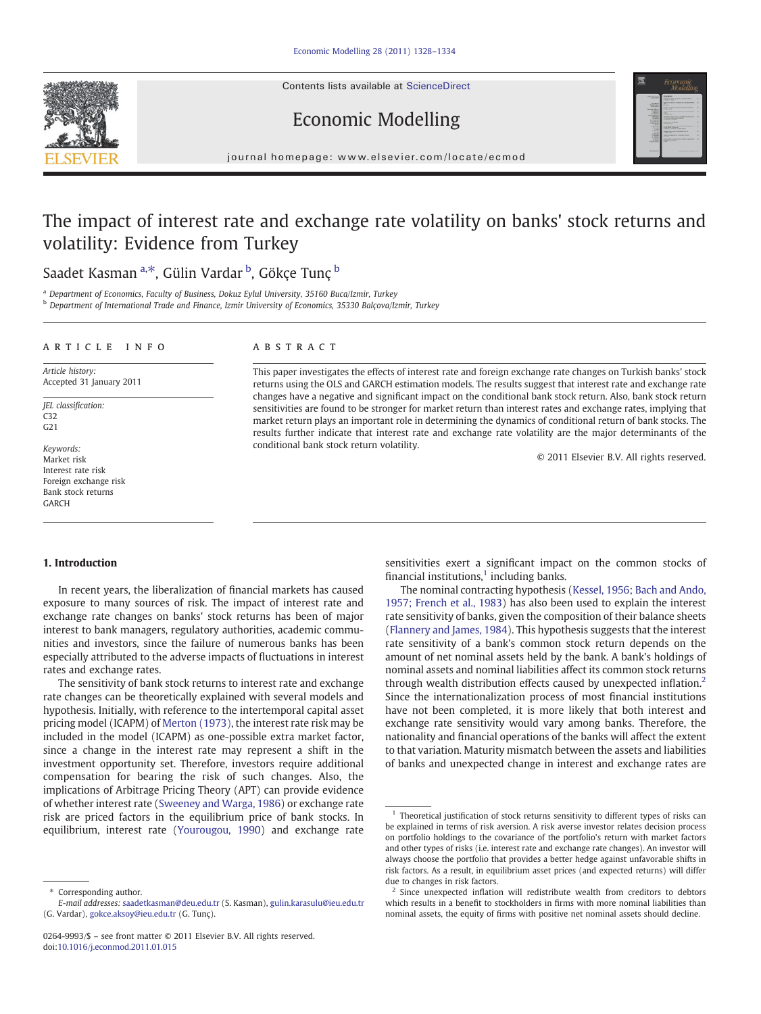Contents lists available at [ScienceDirect](http://www.sciencedirect.com/science/journal/02649993)





Economic Modelling

journal homepage: www.elsevier.com/locate/ecmod

## The impact of interest rate and exchange rate volatility on banks' stock returns and volatility: Evidence from Turkey

## Saadet Kasman <sup>a,\*</sup>, Gülin Vardar <sup>b</sup>, Gökçe Tunç <sup>b</sup>

<sup>a</sup> Department of Economics, Faculty of Business, Dokuz Eylul University, 35160 Buca/Izmir, Turkey

**b Department of International Trade and Finance, Izmir University of Economics, 35330 Balçova/Izmir, Turkey** 

### ARTICLE INFO ABSTRACT

Article history: Accepted 31 January 2011

JEL classification:  $C32$ G21

Keywords: Market risk Interest rate risk Foreign exchange risk Bank stock returns GARCH

This paper investigates the effects of interest rate and foreign exchange rate changes on Turkish banks' stock returns using the OLS and GARCH estimation models. The results suggest that interest rate and exchange rate changes have a negative and significant impact on the conditional bank stock return. Also, bank stock return sensitivities are found to be stronger for market return than interest rates and exchange rates, implying that market return plays an important role in determining the dynamics of conditional return of bank stocks. The results further indicate that interest rate and exchange rate volatility are the major determinants of the conditional bank stock return volatility.

© 2011 Elsevier B.V. All rights reserved.

### 1. Introduction

In recent years, the liberalization of financial markets has caused exposure to many sources of risk. The impact of interest rate and exchange rate changes on banks' stock returns has been of major interest to bank managers, regulatory authorities, academic communities and investors, since the failure of numerous banks has been especially attributed to the adverse impacts of fluctuations in interest rates and exchange rates.

The sensitivity of bank stock returns to interest rate and exchange rate changes can be theoretically explained with several models and hypothesis. Initially, with reference to the intertemporal capital asset pricing model (ICAPM) of [Merton \(1973\),](#page--1-0) the interest rate risk may be included in the model (ICAPM) as one-possible extra market factor, since a change in the interest rate may represent a shift in the investment opportunity set. Therefore, investors require additional compensation for bearing the risk of such changes. Also, the implications of Arbitrage Pricing Theory (APT) can provide evidence of whether interest rate [\(Sweeney and Warga, 1986\)](#page--1-0) or exchange rate risk are priced factors in the equilibrium price of bank stocks. In equilibrium, interest rate ([Yourougou, 1990\)](#page--1-0) and exchange rate sensitivities exert a significant impact on the common stocks of financial institutions, $<sup>1</sup>$  including banks.</sup>

The nominal contracting hypothesis [\(Kessel, 1956; Bach and Ando,](#page--1-0) [1957; French et al., 1983](#page--1-0)) has also been used to explain the interest rate sensitivity of banks, given the composition of their balance sheets [\(Flannery and James, 1984](#page--1-0)). This hypothesis suggests that the interest rate sensitivity of a bank's common stock return depends on the amount of net nominal assets held by the bank. A bank's holdings of nominal assets and nominal liabilities affect its common stock returns through wealth distribution effects caused by unexpected inflation.<sup>2</sup> Since the internationalization process of most financial institutions have not been completed, it is more likely that both interest and exchange rate sensitivity would vary among banks. Therefore, the nationality and financial operations of the banks will affect the extent to that variation. Maturity mismatch between the assets and liabilities of banks and unexpected change in interest and exchange rates are

<sup>⁎</sup> Corresponding author.

E-mail addresses: [saadetkasman@deu.edu.tr](mailto:saadetkasman@deu.edu.tr) (S. Kasman), [gulin.karasulu@ieu.edu.tr](mailto:gulin.karasulu@ieu.edu.tr) (G. Vardar), [gokce.aksoy@ieu.edu.tr](mailto:gokce.aksoy@ieu.edu.tr) (G. Tunç).

<sup>0264-9993/\$</sup> – see front matter © 2011 Elsevier B.V. All rights reserved. doi[:10.1016/j.econmod.2011.01.015](http://dx.doi.org/10.1016/j.econmod.2011.01.015)

<sup>&</sup>lt;sup>1</sup> Theoretical justification of stock returns sensitivity to different types of risks can be explained in terms of risk aversion. A risk averse investor relates decision process on portfolio holdings to the covariance of the portfolio's return with market factors and other types of risks (i.e. interest rate and exchange rate changes). An investor will always choose the portfolio that provides a better hedge against unfavorable shifts in risk factors. As a result, in equilibrium asset prices (and expected returns) will differ due to changes in risk factors.

 $2$  Since unexpected inflation will redistribute wealth from creditors to debtors which results in a benefit to stockholders in firms with more nominal liabilities than nominal assets, the equity of firms with positive net nominal assets should decline.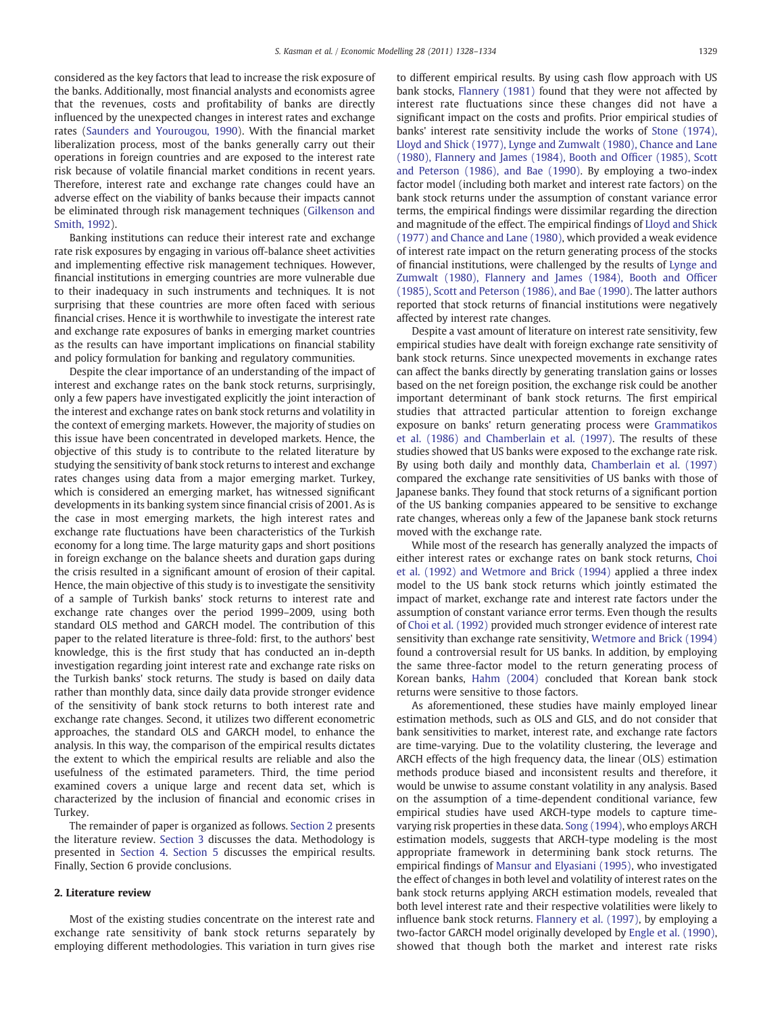considered as the key factors that lead to increase the risk exposure of the banks. Additionally, most financial analysts and economists agree that the revenues, costs and profitability of banks are directly influenced by the unexpected changes in interest rates and exchange rates ([Saunders and Yourougou, 1990\)](#page--1-0). With the financial market liberalization process, most of the banks generally carry out their operations in foreign countries and are exposed to the interest rate risk because of volatile financial market conditions in recent years. Therefore, interest rate and exchange rate changes could have an adverse effect on the viability of banks because their impacts cannot be eliminated through risk management techniques ([Gilkenson and](#page--1-0) [Smith, 1992](#page--1-0)).

Banking institutions can reduce their interest rate and exchange rate risk exposures by engaging in various off-balance sheet activities and implementing effective risk management techniques. However, financial institutions in emerging countries are more vulnerable due to their inadequacy in such instruments and techniques. It is not surprising that these countries are more often faced with serious financial crises. Hence it is worthwhile to investigate the interest rate and exchange rate exposures of banks in emerging market countries as the results can have important implications on financial stability and policy formulation for banking and regulatory communities.

Despite the clear importance of an understanding of the impact of interest and exchange rates on the bank stock returns, surprisingly, only a few papers have investigated explicitly the joint interaction of the interest and exchange rates on bank stock returns and volatility in the context of emerging markets. However, the majority of studies on this issue have been concentrated in developed markets. Hence, the objective of this study is to contribute to the related literature by studying the sensitivity of bank stock returns to interest and exchange rates changes using data from a major emerging market. Turkey, which is considered an emerging market, has witnessed significant developments in its banking system since financial crisis of 2001. As is the case in most emerging markets, the high interest rates and exchange rate fluctuations have been characteristics of the Turkish economy for a long time. The large maturity gaps and short positions in foreign exchange on the balance sheets and duration gaps during the crisis resulted in a significant amount of erosion of their capital. Hence, the main objective of this study is to investigate the sensitivity of a sample of Turkish banks' stock returns to interest rate and exchange rate changes over the period 1999–2009, using both standard OLS method and GARCH model. The contribution of this paper to the related literature is three-fold: first, to the authors' best knowledge, this is the first study that has conducted an in-depth investigation regarding joint interest rate and exchange rate risks on the Turkish banks' stock returns. The study is based on daily data rather than monthly data, since daily data provide stronger evidence of the sensitivity of bank stock returns to both interest rate and exchange rate changes. Second, it utilizes two different econometric approaches, the standard OLS and GARCH model, to enhance the analysis. In this way, the comparison of the empirical results dictates the extent to which the empirical results are reliable and also the usefulness of the estimated parameters. Third, the time period examined covers a unique large and recent data set, which is characterized by the inclusion of financial and economic crises in Turkey.

The remainder of paper is organized as follows. Section 2 presents the literature review. [Section 3](#page--1-0) discusses the data. Methodology is presented in [Section 4.](#page--1-0) [Section 5](#page--1-0) discusses the empirical results. Finally, Section 6 provide conclusions.

### 2. Literature review

Most of the existing studies concentrate on the interest rate and exchange rate sensitivity of bank stock returns separately by employing different methodologies. This variation in turn gives rise to different empirical results. By using cash flow approach with US bank stocks, [Flannery \(1981\)](#page--1-0) found that they were not affected by interest rate fluctuations since these changes did not have a significant impact on the costs and profits. Prior empirical studies of banks' interest rate sensitivity include the works of [Stone \(1974\),](#page--1-0) [Lloyd and Shick \(1977\), Lynge and Zumwalt \(1980\), Chance and Lane](#page--1-0) [\(1980\), Flannery and James \(1984\), Booth and Of](#page--1-0)ficer (1985), Scott [and Peterson \(1986\), and Bae \(1990\)](#page--1-0). By employing a two-index factor model (including both market and interest rate factors) on the bank stock returns under the assumption of constant variance error terms, the empirical findings were dissimilar regarding the direction and magnitude of the effect. The empirical findings of [Lloyd and Shick](#page--1-0) [\(1977\) and Chance and Lane \(1980\)](#page--1-0), which provided a weak evidence of interest rate impact on the return generating process of the stocks of financial institutions, were challenged by the results of [Lynge and](#page--1-0) [Zumwalt \(1980\), Flannery and James \(1984\), Booth and Of](#page--1-0)ficer [\(1985\), Scott and Peterson \(1986\), and Bae \(1990\)](#page--1-0). The latter authors reported that stock returns of financial institutions were negatively affected by interest rate changes.

Despite a vast amount of literature on interest rate sensitivity, few empirical studies have dealt with foreign exchange rate sensitivity of bank stock returns. Since unexpected movements in exchange rates can affect the banks directly by generating translation gains or losses based on the net foreign position, the exchange risk could be another important determinant of bank stock returns. The first empirical studies that attracted particular attention to foreign exchange exposure on banks' return generating process were [Grammatikos](#page--1-0) [et al. \(1986\) and Chamberlain et al. \(1997\).](#page--1-0) The results of these studies showed that US banks were exposed to the exchange rate risk. By using both daily and monthly data, [Chamberlain et al. \(1997\)](#page--1-0) compared the exchange rate sensitivities of US banks with those of Japanese banks. They found that stock returns of a significant portion of the US banking companies appeared to be sensitive to exchange rate changes, whereas only a few of the Japanese bank stock returns moved with the exchange rate.

While most of the research has generally analyzed the impacts of either interest rates or exchange rates on bank stock returns, [Choi](#page--1-0) [et al. \(1992\) and Wetmore and Brick \(1994\)](#page--1-0) applied a three index model to the US bank stock returns which jointly estimated the impact of market, exchange rate and interest rate factors under the assumption of constant variance error terms. Even though the results of [Choi et al. \(1992\)](#page--1-0) provided much stronger evidence of interest rate sensitivity than exchange rate sensitivity, [Wetmore and Brick \(1994\)](#page--1-0) found a controversial result for US banks. In addition, by employing the same three-factor model to the return generating process of Korean banks, [Hahm \(2004\)](#page--1-0) concluded that Korean bank stock returns were sensitive to those factors.

As aforementioned, these studies have mainly employed linear estimation methods, such as OLS and GLS, and do not consider that bank sensitivities to market, interest rate, and exchange rate factors are time-varying. Due to the volatility clustering, the leverage and ARCH effects of the high frequency data, the linear (OLS) estimation methods produce biased and inconsistent results and therefore, it would be unwise to assume constant volatility in any analysis. Based on the assumption of a time-dependent conditional variance, few empirical studies have used ARCH-type models to capture timevarying risk properties in these data. [Song \(1994\)](#page--1-0), who employs ARCH estimation models, suggests that ARCH-type modeling is the most appropriate framework in determining bank stock returns. The empirical findings of [Mansur and Elyasiani \(1995\)](#page--1-0), who investigated the effect of changes in both level and volatility of interest rates on the bank stock returns applying ARCH estimation models, revealed that both level interest rate and their respective volatilities were likely to influence bank stock returns. [Flannery et al. \(1997\)](#page--1-0), by employing a two-factor GARCH model originally developed by [Engle et al. \(1990\),](#page--1-0) showed that though both the market and interest rate risks